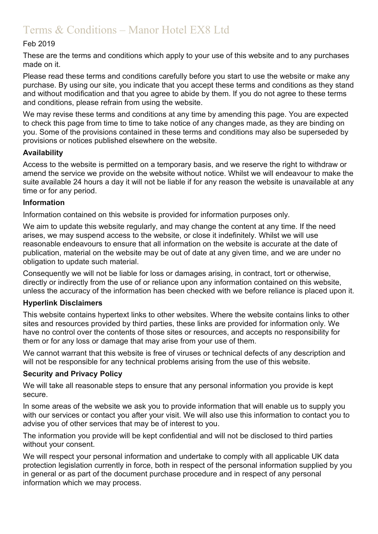# Terms & Conditions – Manor Hotel EX8 Ltd

# Feb 2019

These are the terms and conditions which apply to your use of this website and to any purchases made on it.

Please read these terms and conditions carefully before you start to use the website or make any purchase. By using our site, you indicate that you accept these terms and conditions as they stand and without modification and that you agree to abide by them. If you do not agree to these terms and conditions, please refrain from using the website.

We may revise these terms and conditions at any time by amending this page. You are expected to check this page from time to time to take notice of any changes made, as they are binding on you. Some of the provisions contained in these terms and conditions may also be superseded by provisions or notices published elsewhere on the website.

### **Availability**

Access to the website is permitted on a temporary basis, and we reserve the right to withdraw or amend the service we provide on the website without notice. Whilst we will endeavour to make the suite available 24 hours a day it will not be liable if for any reason the website is unavailable at any time or for any period.

### **Information**

Information contained on this website is provided for information purposes only.

We aim to update this website regularly, and may change the content at any time. If the need arises, we may suspend access to the website, or close it indefinitely. Whilst we will use reasonable endeavours to ensure that all information on the website is accurate at the date of publication, material on the website may be out of date at any given time, and we are under no obligation to update such material.

Consequently we will not be liable for loss or damages arising, in contract, tort or otherwise, directly or indirectly from the use of or reliance upon any information contained on this website, unless the accuracy of the information has been checked with we before reliance is placed upon it.

## **Hyperlink Disclaimers**

This website contains hypertext links to other websites. Where the website contains links to other sites and resources provided by third parties, these links are provided for information only. We have no control over the contents of those sites or resources, and accepts no responsibility for them or for any loss or damage that may arise from your use of them.

We cannot warrant that this website is free of viruses or technical defects of any description and will not be responsible for any technical problems arising from the use of this website.

## **Security and Privacy Policy**

We will take all reasonable steps to ensure that any personal information you provide is kept secure.

In some areas of the website we ask you to provide information that will enable us to supply you with our services or contact you after your visit. We will also use this information to contact you to advise you of other services that may be of interest to you.

The information you provide will be kept confidential and will not be disclosed to third parties without your consent.

We will respect your personal information and undertake to comply with all applicable UK data protection legislation currently in force, both in respect of the personal information supplied by you in general or as part of the document purchase procedure and in respect of any personal information which we may process.